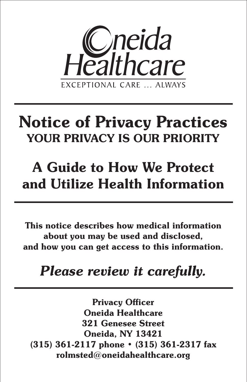

# **Notice of Privacy Practices YOUR PRIVACY IS OUR PRIORITY**

# **A Guide to How We Protect and Utilize Health Information**

**This notice describes how medical information about you may be used and disclosed, and how you can get access to this information.**

# *Please review it carefully.*

**Privacy Officer Oneida Healthcare 321 Genesee Street Oneida, NY 13421 (315) 361-2117 phone • (315) 361-2317 fax rolmsted@oneidahealthcare.org**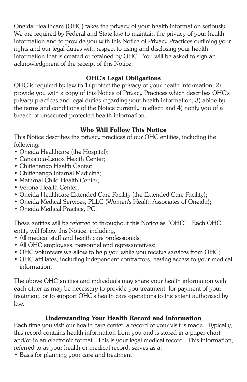Oneida Healthcare (OHC) takes the privacy of your health information seriously. We are required by Federal and State law to maintain the privacy of your health information and to provide you with this Notice of Privacy Practices outlining your rights and our legal duties with respect to using and disclosing your health information that is created or retained by OHC. You will be asked to sign an acknowledgment of the receipt of this Notice.

# **OHC's Legal Obligations**

OHC is required by law to 1) protect the privacy of your health information; 2) provide you with a copy of this Notice of Privacy Practices which describes OHC's privacy practices and legal duties regarding your health information; 3) abide by the terms and conditions of the Notice currently in effect; and 4) notify you of a breach of unsecured protected health information.

# **Who Will Follow This Notice**

This Notice describes the privacy practices of our OHC entities, including the following:

- Oneida Healthcare (the Hospital);
- Canastota-Lenox Health Center;
- Chittenango Health Center;
- Chittenango Internal Medicine;
- Maternal Child Health Center;
- Verona Health Center;
- Oneida Healthcare Extended Care Facility (the Extended Care Facility);
- Oneida Medical Services, PLLC (Women's Health Associates of Oneida);
- Oneida Medical Practice, PC.

These entities will be referred to throughout this Notice as "OHC". Each OHC entity will follow this Notice, including,

- All medical staff and health care professionals:
- All OHC employees, personnel and representatives;
- OHC volunteers we allow to help you while you receive services from OHC;
- OHC affiliates, including independent contractors, having access to your medical information.

The above OHC entities and individuals may share your health information with each other as may be necessary to provide you treatment, for payment of your treatment, or to support OHC's health care operations to the extent authorized by law.

# **Understanding Your Health Record and Information**

Each time you visit our health care center, a record of your visit is made. Typically, this record contains health information from you and is stored in a paper chart and/or in an electronic format. This is your legal medical record. This information, referred to as your health or medical record, serves as a:

• Basis for planning your care and treatment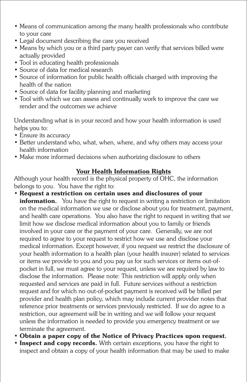- Means of communication among the many health professionals who contribute to your care
- Legal document describing the care you received
- Means by which you or a third party payer can verify that services billed were actually provided
- Tool in educating health professionals
- Source of data for medical research
- Source of information for public health officials charged with improving the health of the nation
- Source of data for facility planning and marketing
- Tool with which we can assess and continually work to improve the care we render and the outcomes we achieve

Understanding what is in your record and how your health information is used helps you to:

- Ensure its accuracy
- Better understand who, what, when, where, and why others may access your health information
- Make more informed decisions when authorizing disclosure to others

# **Your Health Information Rights**

Although your health record is the physical property of OHC, the information belongs to you. You have the right to:

- **Request a restriction on certain uses and disclosures of your information.** You have the right to request in writing a restriction or limitation on the medical information we use or disclose about you for treatment, payment, and health care operations. You also have the right to request in writing that we limit how we disclose medical information about you to family or friends involved in your care or the payment of your care. Generally, we are not required to agree to your request to restrict how we use and disclose your medical information. Except however, if you request we restrict the disclosure of your health information to a health plan (your health insurer) related to services or items we provide to you and you pay us for such services or items out-ofpocket in full, we must agree to your request, unless we are required by law to disclose the information. Please note: This restriction will apply only when requested and services are paid in full. Future services without a restriction request and for which no out-of-pocket payment is received will be billed per provider and health plan policy, which may include current provider notes that reference prior treatments or services previously restricted. If we do agree to a restriction, our agreement will be in writing and we will follow your request unless the information is needed to provide you emergency treatment or we terminate the agreement.
- **Obtain a paper copy of the Notice of Privacy Practices upon request.**
- **Inspect and copy records.** With certain exceptions, you have the right to inspect and obtain a copy of your health information that may be used to make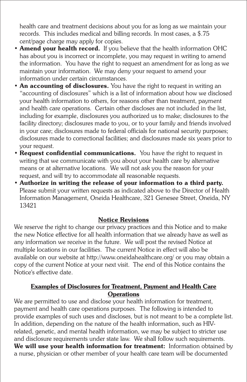health care and treatment decisions about you for as long as we maintain your records. This includes medical and billing records. In most cases, a \$.75 cent/page charge may apply for copies.

- **Amend your health record.** If you believe that the health information OHC has about you is incorrect or incomplete, you may request in writing to amend the information. You have the right to request an amendment for as long as we maintain your information. We may deny your request to amend your information under certain circumstances.
- **An accounting of disclosures.** You have the right to request in writing an "accounting of disclosures" which is a list of information about how we disclosed your health information to others, for reasons other than treatment, payment and health care operations. Certain other discloses are not included in the list, including for example, disclosures you authorized us to make; disclosures to the facility directory; disclosures made to you, or to your family and friends involved in your care; disclosures made to federal officials for national security purposes; disclosures made to correctional facilities; and disclosures made six years prior to your request.
- **Request confidential communications.** You have the right to request in writing that we communicate with you about your health care by alternative means or at alternative locations. We will not ask you the reason for your request, and will try to accommodate all reasonable requests.
- **Authorize in writing the release of your information to a third party.**  Please submit your written requests as indicated above to the Director of Health Information Management, Oneida Healthcare, 321 Genesee Street, Oneida, NY 13421

#### **Notice Revisions**

We reserve the right to change our privacy practices and this Notice and to make the new Notice effective for all health information that we already have as well as any information we receive in the future. We will post the revised Notice at multiple locations in our facilities. The current Notice in effect will also be available on our website at http://www.oneidahealthcare.org/ or you may obtain a copy of the current Notice at your next visit. The end of this Notice contains the Notice's effective date.

#### **Examples of Disclosures for Treatment, Payment and Health Care Operations**

We are permitted to use and disclose your health information for treatment, payment and health care operations purposes. The following is intended to provide examples of such uses and discloses, but is not meant to be a complete list. In addition, depending on the nature of the health information, such as HIVrelated, genetic, and mental health information, we may be subject to stricter use and disclosure requirements under state law. We shall follow such requirements. **We will use your health information for treatment:** Information obtained by a nurse, physician or other member of your health care team will be documented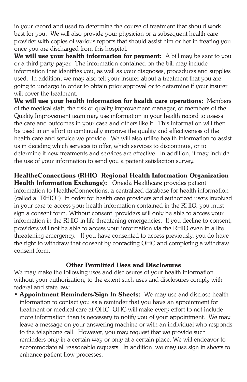in your record and used to determine the course of treatment that should work best for you. We will also provide your physician or a subsequent health care provider with copies of various reports that should assist him or her in treating you once you are discharged from this hospital.

**We will use your health information for payment:** A bill may be sent to you or a third party payer. The information contained on the bill may include information that identifies you, as well as your diagnoses, procedures and supplies used. In addition, we may also tell your insurer about a treatment that you are going to undergo in order to obtain prior approval or to determine if your insurer will cover the treatment.

**We will use your health information for health care operations:** Members of the medical staff, the risk or quality improvement manager, or members of the Quality Improvement team may use information in your health record to assess the care and outcomes in your case and others like it. This information will then be used in an effort to continually improve the quality and effectiveness of the health care and service we provide. We will also utilize health information to assist us in deciding which services to offer, which services to discontinue, or to determine if new treatments and services are effective. In addition, it may include the use of your information to send you a patient satisfaction survey.

**HealtheConnections (RHIO Regional Health Information Organization Health Information Exchange):** Oneida Healthcare provides patient information to HealtheConnections, a centralized database for health information (called a "RHIO"). In order for health care providers and authorized users involved in your care to access your health information contained in the RHIO, you must sign a consent form. Without consent, providers will only be able to access your information in the RHIO in life threatening emergencies. If you decline to consent, providers will not be able to access your information via the RHIO even in a life threatening emergency. If you have consented to access previously, you do have the right to withdraw that consent by contacting OHC and completing a withdraw consent form.

### **Other Permitted Uses and Disclosures**

We may make the following uses and disclosures of your health information without your authorization, to the extent such uses and disclosures comply with federal and state law:

• **Appointment Reminders/Sign In Sheets:** We may use and disclose health information to contact you as a reminder that you have an appointment for treatment or medical care at OHC. OHC will make every effort to not include more information than is necessary to notify you of your appointment. We may leave a message on your answering machine or with an individual who responds to the telephone call. However, you may request that we provide such reminders only in a certain way or only at a certain place. We will endeavor to accommodate all reasonable requests. In addition, we may use sign in sheets to enhance patient flow processes.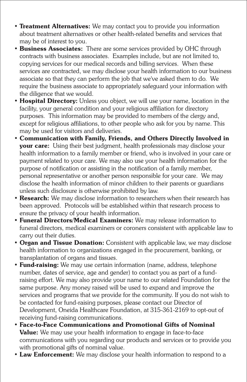- **Treatment Alternatives:** We may contact you to provide you information about treatment alternatives or other health-related benefits and services that may be of interest to you.
- **Business Associates:** There are some services provided by OHC through contracts with business associates. Examples include, but are not limited to, copying services for our medical records and billing services. When these services are contracted, we may disclose your health information to our business associate so that they can perform the job that we've asked them to do. We require the business associate to appropriately safeguard your information with the diligence that we would.
- **Hospital Directory:** Unless you object, we will use your name, location in the facility, your general condition and your religious affiliation for directory purposes. This information may be provided to members of the clergy and, except for religious affiliations, to other people who ask for you by name. This may be used for visitors and deliveries.
- **Communication with Family, Friends, and Others Directly Involved in your care:** Using their best judgment, health professionals may disclose your health information to a family member or friend, who is involved in your care or payment related to your care. We may also use your health information for the purpose of notification or assisting in the notification of a family member, personal representative or another person responsible for your care. We may disclose the health information of minor children to their parents or guardians unless such disclosure is otherwise prohibited by law.
- **Research:** We may disclose information to researchers when their research has been approved. Protocols will be established within that research process to ensure the privacy of your health information.
- **Funeral Directors/Medical Examiners:** We may release information to funeral directors, medical examiners or coroners consistent with applicable law to carry out their duties.
- **Organ and Tissue Donation:** Consistent with applicable law, we may disclose health information to organizations engaged in the procurement, banking, or transplantation of organs and tissues.
- **Fund-raising:** We may use certain information (name, address, telephone number, dates of service, age and gender) to contact you as part of a fundraising effort. We may also provide your name to our related Foundation for the same purpose. Any money raised will be used to expand and improve the services and programs that we provide for the community. If you do not wish to be contacted for fund-raising purposes, please contact our Director of Development, Oneida Healthcare Foundation, at 315-361-2169 to opt-out of receiving fund-raising communications.
- **Face-to-Face Communications and Promotional Gifts of Nominal Value:** We may use your health information to engage in face-to-face communications with you regarding our products and services or to provide you with promotional gifts of nominal value.
- **Law Enforcement:** We may disclose your health information to respond to a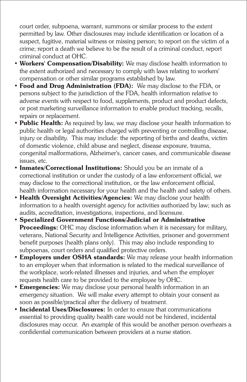court order, subpoena, warrant, summons or similar process to the extent permitted by law. Other disclosures may include identification or location of a suspect, fugitive, material witness or missing person; to report on the victim of a crime; report a death we believe to be the result of a criminal conduct, report criminal conduct at OHC.

- **Workers' Compensation/Disability:** We may disclose health information to the extent authorized and necessary to comply with laws relating to workers' compensation or other similar programs established by law.
- **Food and Drug Administration (FDA):** We may disclose to the FDA, or persons subject to the jurisdiction of the FDA, health information relative to adverse events with respect to food, supplements, product and product defects, or post marketing surveillance information to enable product tracking, recalls, repairs or replacement.
- **Public Health:** As required by law, we may disclose your health information to public health or legal authorities charged with preventing or controlling disease, injury or disability. This may include: the reporting of births and deaths, victim of domestic violence, child abuse and neglect, disease exposure, trauma, congenital malformations, Alzheimer's, cancer cases, and communicable disease issues, etc.
- **Inmates/Correctional Institutions:** Should you be an inmate of a correctional institution or under the custody of a law enforcement official, we may disclose to the correctional institution, or the law enforcement official, health information necessary for your health and the health and safety of others.
- **Health Oversight Activities/Agencies:** We may disclose your health information to a health oversight agency for activities authorized by law; such as audits, accreditation, investigations, inspections, and licensure.
- **Specialized Government Functions/Judicial or Administrative Proceedings:** OHC may disclose information when it is necessary for military, veterans, National Security and Intelligence Activities, prisoner and government benefit purposes (health plans only). This may also include responding to subpoenas, court orders and qualified protective orders.
- **Employers under OSHA standards:** We may release your health information to an employer when that information is related to the medical surveillance of the workplace, work-related illnesses and injuries, and when the employer requests health care to be provided to the employee by OHC.
- **Emergencies:** We may disclose your personal health information in an emergency situation. We will make every attempt to obtain your consent as soon as possible/practical after the delivery of treatment.
- **Incidental Uses/Disclosures:** In order to ensure that communications essential to providing quality health care would not be hindered, incidental disclosures may occur. An example of this would be another person overhears a confidential communication between providers at a nurse station.